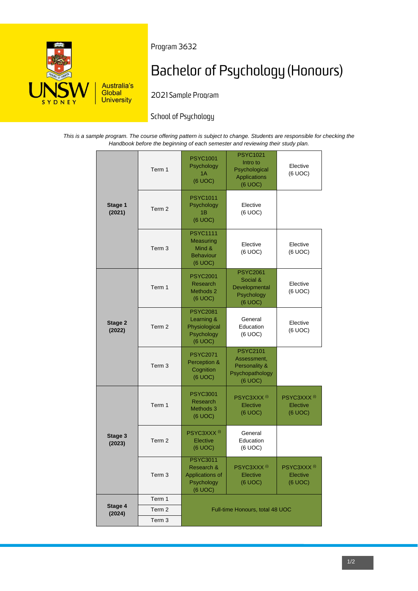

Program 3632

# **Bachelor of Psychology (Honours)**

2021 Sample Program

# School of Psychology

*This is a sample program. The course offering pattern is subject to change. Students are responsible for checking the Handbook before the beginning of each semester and reviewing their study plan.*

| Stage 1<br>(2021) | Term 1            | <b>PSYC1001</b><br>Psychology<br>1A<br>(6 UOC)                               | <b>PSYC1021</b><br>Intro to<br>Psychological<br>Applications<br>(6 UOC)       | Elective<br>(6 UOC)                            |
|-------------------|-------------------|------------------------------------------------------------------------------|-------------------------------------------------------------------------------|------------------------------------------------|
|                   | Term <sub>2</sub> | <b>PSYC1011</b><br>Psychology<br>1Β<br>(6 UOC)                               | Elective<br>(6 UOC)                                                           |                                                |
|                   | Term <sub>3</sub> | <b>PSYC1111</b><br><b>Measuring</b><br>Mind &<br><b>Behaviour</b><br>(6 UOC) | Elective<br>(6 UOC)                                                           | Elective<br>(6 UOC)                            |
| Stage 2<br>(2022) | Term 1            | <b>PSYC2001</b><br>Research<br>Methods 2<br>(6 UOC)                          | <b>PSYC2061</b><br>Social &<br>Developmental<br>Psychology<br>(6 UOC)         | Elective<br>(6 UOC)                            |
|                   | Term 2            | <b>PSYC2081</b><br>Learning &<br>Physiological<br>Psychology<br>(6 UOC)      | General<br>Education<br>(6 UOC)                                               | Elective<br>(6 UOC)                            |
|                   | Term <sub>3</sub> | <b>PSYC2071</b><br>Perception &<br>Cognition<br>(6 UOC)                      | <b>PSYC2101</b><br>Assessment,<br>Personality &<br>Psychopathology<br>(6 UOC) |                                                |
|                   | Term 1            | <b>PSYC3001</b><br>Research<br>Methods 3<br>(6 UOC)                          | PSYC3XXX <sup>(i)</sup><br>Elective<br>(6 UOC)                                | PSYC3XXX <sup>(i)</sup><br>Elective<br>(6 UOC) |
| Stage 3<br>(2023) | Term <sub>2</sub> | PSYC3XXX <sup>(i)</sup><br>Elective<br>(6 UOC)                               | General<br>Education<br>(6 UOC)                                               |                                                |
|                   | Term 3            | <b>PSYC3011</b><br>Research &<br>Applications of<br>Psychology<br>(6 UOC)    | PSYC3XXX <sup>(i)</sup><br>Elective<br>(6 UOC)                                | PSYC3XXX <sup>(i)</sup><br>Elective<br>(6 UOC) |
| Stage 4<br>(2024) | Term 1            | Full-time Honours, total 48 UOC                                              |                                                                               |                                                |
|                   | Term <sub>2</sub> |                                                                              |                                                                               |                                                |
|                   | Term 3            |                                                                              |                                                                               |                                                |